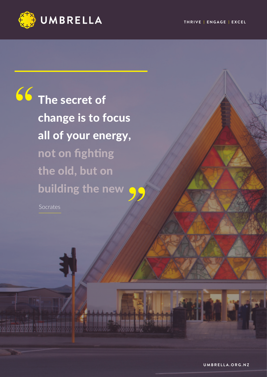

66 The secret of change is to focus all of your energy, not on fighting the old, but on building the new

Socrates